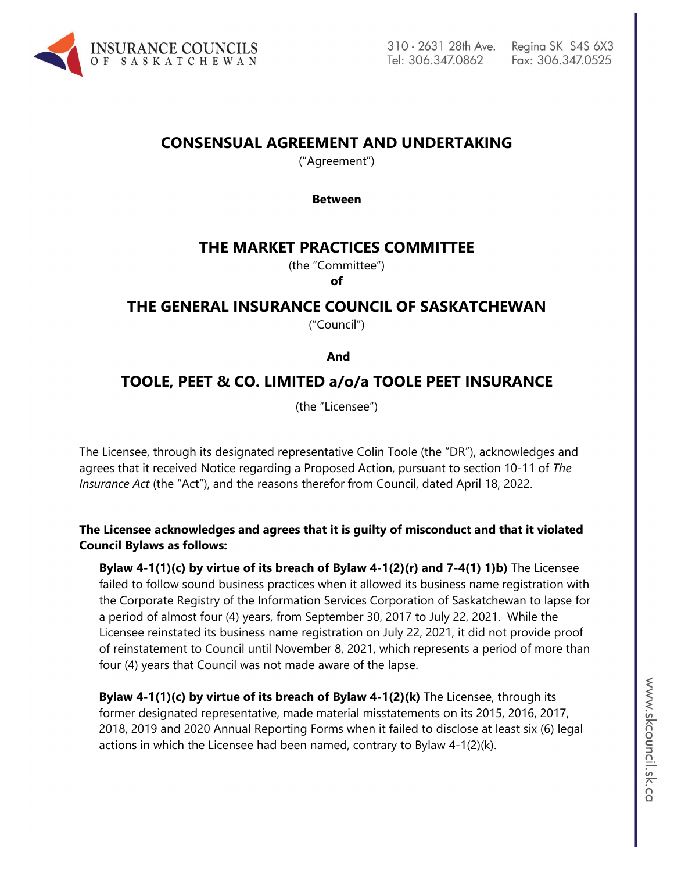

# **CONSENSUAL AGREEMENT AND UNDERTAKING**

("Agreement")

#### **Between**

## **THE MARKET PRACTICES COMMITTEE**

(the "Committee")

**of**

# **THE GENERAL INSURANCE COUNCIL OF SASKATCHEWAN**

("Council")

 **And**

## **TOOLE, PEET & CO. LIMITED a/o/a TOOLE PEET INSURANCE**

(the "Licensee")

The Licensee, through its designated representative Colin Toole (the "DR"), acknowledges and agrees that it received Notice regarding a Proposed Action, pursuant to section 10-11 of *The Insurance Act* (the "Act"), and the reasons therefor from Council, dated April 18, 2022.

**The Licensee acknowledges and agrees that it is guilty of misconduct and that it violated Council Bylaws as follows:**

**Bylaw 4-1(1)(c) by virtue of its breach of Bylaw 4-1(2)(r) and 7-4(1) 1)b)** The Licensee failed to follow sound business practices when it allowed its business name registration with the Corporate Registry of the Information Services Corporation of Saskatchewan to lapse for a period of almost four (4) years, from September 30, 2017 to July 22, 2021. While the Licensee reinstated its business name registration on July 22, 2021, it did not provide proof of reinstatement to Council until November 8, 2021, which represents a period of more than four (4) years that Council was not made aware of the lapse.

**Bylaw 4-1(1)(c) by virtue of its breach of Bylaw 4-1(2)(k)** The Licensee, through its former designated representative, made material misstatements on its 2015, 2016, 2017, 2018, 2019 and 2020 Annual Reporting Forms when it failed to disclose at least six (6) legal actions in which the Licensee had been named, contrary to Bylaw 4-1(2)(k).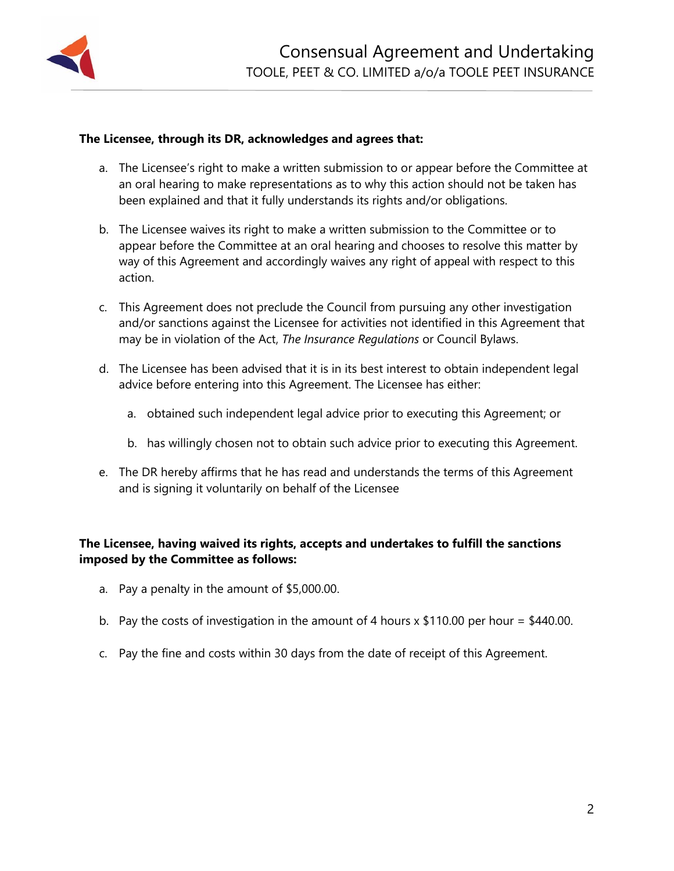

### **The Licensee, through its DR, acknowledges and agrees that:**

- a. The Licensee's right to make a written submission to or appear before the Committee at an oral hearing to make representations as to why this action should not be taken has been explained and that it fully understands its rights and/or obligations.
- b. The Licensee waives its right to make a written submission to the Committee or to appear before the Committee at an oral hearing and chooses to resolve this matter by way of this Agreement and accordingly waives any right of appeal with respect to this action.
- c. This Agreement does not preclude the Council from pursuing any other investigation and/or sanctions against the Licensee for activities not identified in this Agreement that may be in violation of the Act, *The Insurance Regulations* or Council Bylaws.
- d. The Licensee has been advised that it is in its best interest to obtain independent legal advice before entering into this Agreement. The Licensee has either:
	- a. obtained such independent legal advice prior to executing this Agreement; or
	- b. has willingly chosen not to obtain such advice prior to executing this Agreement.
- e. The DR hereby affirms that he has read and understands the terms of this Agreement and is signing it voluntarily on behalf of the Licensee

### **The Licensee, having waived its rights, accepts and undertakes to fulfill the sanctions imposed by the Committee as follows:**

- a. Pay a penalty in the amount of \$5,000.00.
- b. Pay the costs of investigation in the amount of 4 hours  $x$  \$110.00 per hour = \$440.00.
- c. Pay the fine and costs within 30 days from the date of receipt of this Agreement.